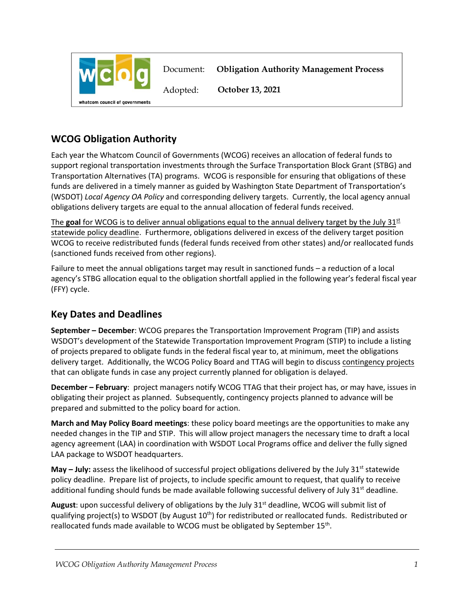

## **WCOG Obligation Authority**

Each year the Whatcom Council of Governments (WCOG) receives an allocation of federal funds to support regional transportation investments through the Surface Transportation Block Grant (STBG) and Transportation Alternatives (TA) programs. WCOG is responsible for ensuring that obligations of these funds are delivered in a timely manner as guided by Washington State Department of Transportation's (WSDOT) *Local Agency OA Policy* and corresponding delivery targets. Currently, the local agency annual obligations delivery targets are equal to the annual allocation of federal funds received.

The goal for WCOG is to deliver annual obligations equal to the annual delivery target by the July 31<sup>st</sup> statewide policy deadline. Furthermore, obligations delivered in excess of the delivery target position WCOG to receive redistributed funds (federal funds received from other states) and/or reallocated funds (sanctioned funds received from other regions).

Failure to meet the annual obligations target may result in sanctioned funds – a reduction of a local agency's STBG allocation equal to the obligation shortfall applied in the following year's federal fiscal year (FFY) cycle.

## **Key Dates and Deadlines**

**September – December**: WCOG prepares the Transportation Improvement Program (TIP) and assists WSDOT's development of the Statewide Transportation Improvement Program (STIP) to include a listing of projects prepared to obligate funds in the federal fiscal year to, at minimum, meet the obligations delivery target. Additionally, the WCOG Policy Board and TTAG will begin to discuss contingency projects that can obligate funds in case any project currently planned for obligation is delayed.

**December – February**: project managers notify WCOG TTAG that their project has, or may have, issues in obligating their project as planned. Subsequently, contingency projects planned to advance will be prepared and submitted to the policy board for action.

**March and May Policy Board meetings**: these policy board meetings are the opportunities to make any needed changes in the TIP and STIP. This will allow project managers the necessary time to draft a local agency agreement (LAA) in coordination with WSDOT Local Programs office and deliver the fully signed LAA package to WSDOT headquarters.

**May – July:** assess the likelihood of successful project obligations delivered by the July 31<sup>st</sup> statewide policy deadline. Prepare list of projects, to include specific amount to request, that qualify to receive additional funding should funds be made available following successful delivery of July  $31<sup>st</sup>$  deadline.

August: upon successful delivery of obligations by the July 31<sup>st</sup> deadline, WCOG will submit list of qualifying project(s) to WSDOT (by August 10<sup>th</sup>) for redistributed or reallocated funds. Redistributed or reallocated funds made available to WCOG must be obligated by September 15<sup>th</sup>.